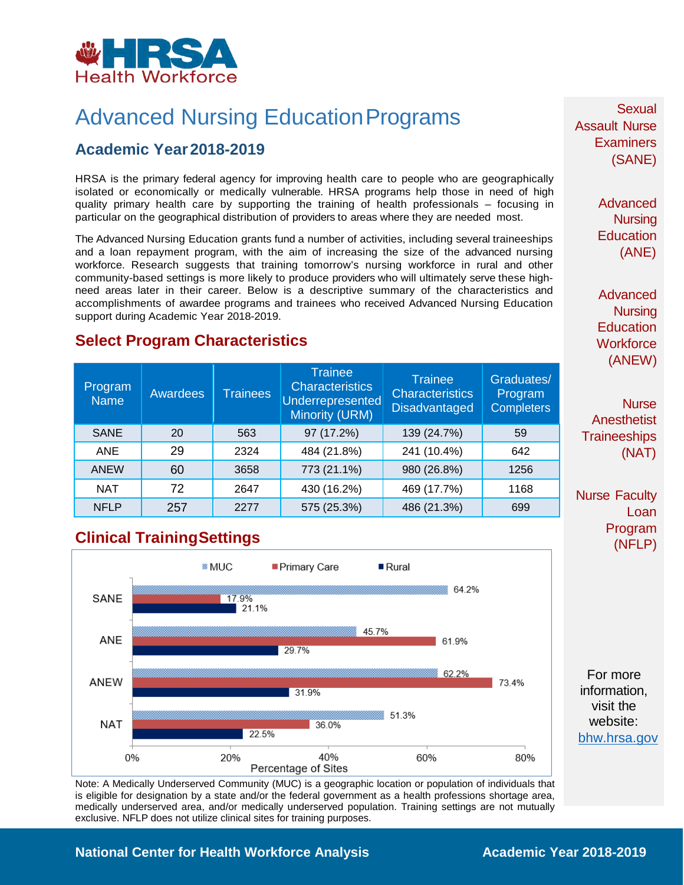

## Advanced Nursing EducationPrograms

#### **Academic Year2018-2019**

HRSA is the primary federal agency for improving health care to people who are geographically isolated or economically or medically vulnerable. HRSA programs help those in need of high quality primary health care by supporting the training of health professionals – focusing in particular on the geographical distribution of providers to areas where they are needed most.

The Advanced Nursing Education grants fund a number of activities, including several traineeships and a loan repayment program, with the aim of increasing the size of the advanced nursing workforce. Research suggests that training tomorrow's nursing workforce in rural and other community-based settings is more likely to produce providers who will ultimately serve these highneed areas later in their career. Below is a descriptive summary of the characteristics and accomplishments of awardee programs and trainees who received Advanced Nursing Education support during Academic Year 2018-2019.

#### **Select Program Characteristics**

| Program<br><b>Name</b> | Awardees | <b>Trainees</b> | <b>Trainee</b><br><b>Characteristics</b><br><b>Underrepresented</b><br>Minority (URM) | <b>Trainee</b><br><b>Characteristics</b><br><b>Disadvantaged</b> | Graduates/<br>Program<br><b>Completers</b> |  |
|------------------------|----------|-----------------|---------------------------------------------------------------------------------------|------------------------------------------------------------------|--------------------------------------------|--|
| <b>SANE</b>            | 20       | 563             | 97 (17.2%)                                                                            | 139 (24.7%)                                                      | 59                                         |  |
| <b>ANE</b>             | 29       | 2324            | 484 (21.8%)                                                                           | 241 (10.4%)                                                      | 642                                        |  |
| <b>ANEW</b>            | 60       | 3658            | 773 (21.1%)                                                                           | 980 (26.8%)                                                      | 1256                                       |  |
| <b>NAT</b>             | 72       | 2647            | 430 (16.2%)                                                                           | 469 (17.7%)                                                      | 1168                                       |  |
| <b>NFLP</b>            | 257      | 2277            | 575 (25.3%)                                                                           | 486 (21.3%)                                                      | 699                                        |  |

#### **Clinical TrainingSettings**



Note: A Medically Underserved Community (MUC) is a geographic location or population of individuals that is eligible for designation by a state and/or the federal government as a health professions shortage area, medically underserved area, and/or medically underserved population. Training settings are not mutually exclusive. NFLP does not utilize clinical sites for training purposes.

Sexual Assault Nurse **Examiners** (SANE)

> Advanced **Nursing Education** (ANE)

Advanced **Nursing Education Workforce** (ANEW)

**Nurse Anesthetist Traineeships** (NAT)

Nurse Faculty Loan Program (NFLP)

For more information, visit the website: [bhw.hrsa.gov](http://bhw.hrsa.gov/)

#### **National Center for Health Workforce Analysis <b>Academic Year 2018-2019**